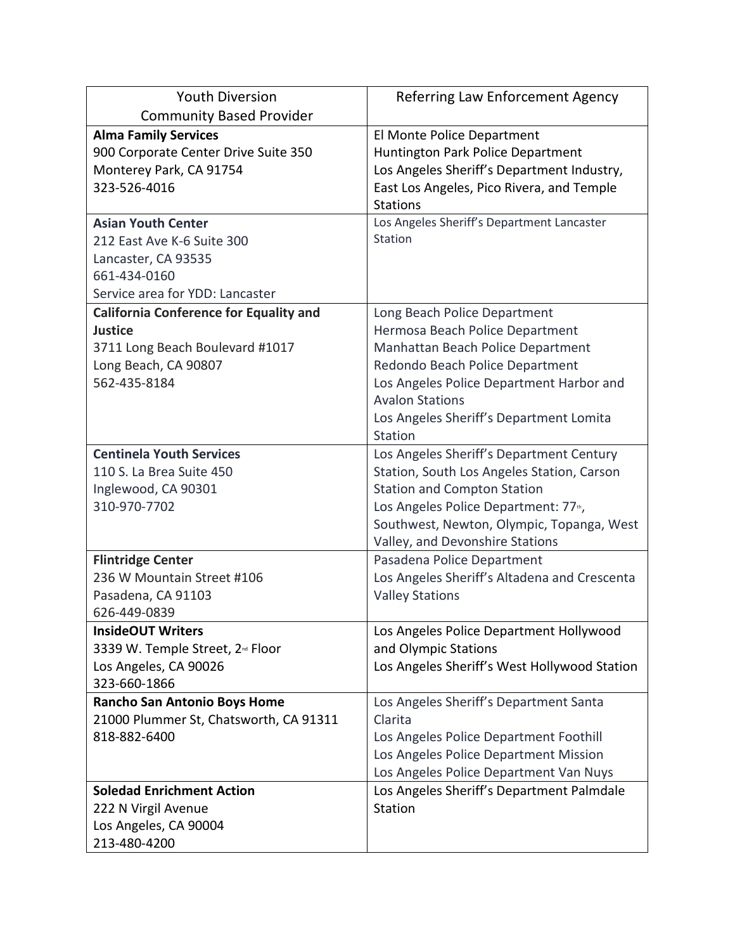| <b>Youth Diversion</b>                        | Referring Law Enforcement Agency             |
|-----------------------------------------------|----------------------------------------------|
| <b>Community Based Provider</b>               |                                              |
| <b>Alma Family Services</b>                   | El Monte Police Department                   |
| 900 Corporate Center Drive Suite 350          | Huntington Park Police Department            |
| Monterey Park, CA 91754                       | Los Angeles Sheriff's Department Industry,   |
| 323-526-4016                                  | East Los Angeles, Pico Rivera, and Temple    |
|                                               | <b>Stations</b>                              |
| <b>Asian Youth Center</b>                     | Los Angeles Sheriff's Department Lancaster   |
| 212 East Ave K-6 Suite 300                    | Station                                      |
| Lancaster, CA 93535                           |                                              |
| 661-434-0160                                  |                                              |
| Service area for YDD: Lancaster               |                                              |
| <b>California Conference for Equality and</b> | Long Beach Police Department                 |
| <b>Justice</b>                                | Hermosa Beach Police Department              |
| 3711 Long Beach Boulevard #1017               | Manhattan Beach Police Department            |
| Long Beach, CA 90807                          | Redondo Beach Police Department              |
| 562-435-8184                                  | Los Angeles Police Department Harbor and     |
|                                               | <b>Avalon Stations</b>                       |
|                                               | Los Angeles Sheriff's Department Lomita      |
|                                               | <b>Station</b>                               |
| <b>Centinela Youth Services</b>               | Los Angeles Sheriff's Department Century     |
| 110 S. La Brea Suite 450                      | Station, South Los Angeles Station, Carson   |
| Inglewood, CA 90301                           | <b>Station and Compton Station</b>           |
| 310-970-7702                                  | Los Angeles Police Department: 77th,         |
|                                               | Southwest, Newton, Olympic, Topanga, West    |
|                                               | Valley, and Devonshire Stations              |
| <b>Flintridge Center</b>                      | Pasadena Police Department                   |
| 236 W Mountain Street #106                    | Los Angeles Sheriff's Altadena and Crescenta |
| Pasadena, CA 91103                            | <b>Valley Stations</b>                       |
| 626-449-0839                                  |                                              |
| <b>InsideOUT Writers</b>                      | Los Angeles Police Department Hollywood      |
| 3339 W. Temple Street, 2 <sup>nd</sup> Floor  | and Olympic Stations                         |
| Los Angeles, CA 90026                         | Los Angeles Sheriff's West Hollywood Station |
| 323-660-1866                                  |                                              |
| <b>Rancho San Antonio Boys Home</b>           | Los Angeles Sheriff's Department Santa       |
| 21000 Plummer St, Chatsworth, CA 91311        | Clarita                                      |
| 818-882-6400                                  | Los Angeles Police Department Foothill       |
|                                               | Los Angeles Police Department Mission        |
|                                               | Los Angeles Police Department Van Nuys       |
| <b>Soledad Enrichment Action</b>              | Los Angeles Sheriff's Department Palmdale    |
| 222 N Virgil Avenue                           | Station                                      |
| Los Angeles, CA 90004                         |                                              |
| 213-480-4200                                  |                                              |